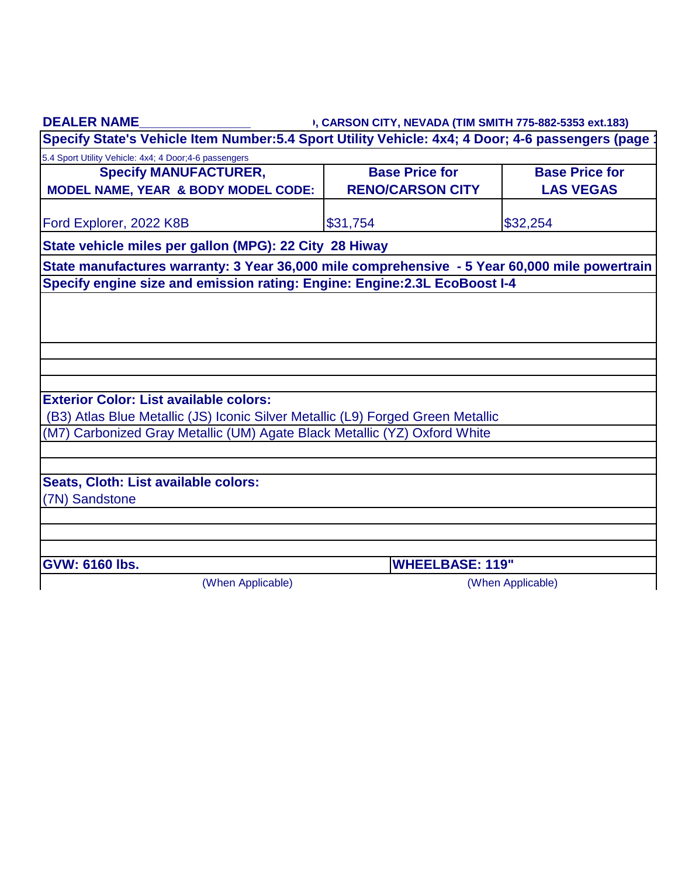| <b>DEALER NAME</b>                                                                                                                                           | I, CARSON CITY, NEVADA (TIM SMITH 775-882-5353 ext.183) |                       |  |  |
|--------------------------------------------------------------------------------------------------------------------------------------------------------------|---------------------------------------------------------|-----------------------|--|--|
| Specify State's Vehicle Item Number: 5.4 Sport Utility Vehicle: 4x4; 4 Door; 4-6 passengers (page                                                            |                                                         |                       |  |  |
| 5.4 Sport Utility Vehicle: 4x4; 4 Door; 4-6 passengers                                                                                                       |                                                         |                       |  |  |
| <b>Specify MANUFACTURER,</b>                                                                                                                                 | <b>Base Price for</b>                                   | <b>Base Price for</b> |  |  |
| <b>MODEL NAME, YEAR &amp; BODY MODEL CODE:</b>                                                                                                               | <b>RENO/CARSON CITY</b>                                 | <b>LAS VEGAS</b>      |  |  |
| Ford Explorer, 2022 K8B                                                                                                                                      | \$31,754                                                | \$32,254              |  |  |
| State vehicle miles per gallon (MPG): 22 City 28 Hiway                                                                                                       |                                                         |                       |  |  |
| State manufactures warranty: 3 Year 36,000 mile comprehensive - 5 Year 60,000 mile powertrain                                                                |                                                         |                       |  |  |
| Specify engine size and emission rating: Engine: Engine: 2.3L EcoBoost I-4                                                                                   |                                                         |                       |  |  |
|                                                                                                                                                              |                                                         |                       |  |  |
|                                                                                                                                                              |                                                         |                       |  |  |
|                                                                                                                                                              |                                                         |                       |  |  |
|                                                                                                                                                              |                                                         |                       |  |  |
|                                                                                                                                                              |                                                         |                       |  |  |
| <b>Exterior Color: List available colors:</b>                                                                                                                |                                                         |                       |  |  |
|                                                                                                                                                              |                                                         |                       |  |  |
| (B3) Atlas Blue Metallic (JS) Iconic Silver Metallic (L9) Forged Green Metallic<br>(M7) Carbonized Gray Metallic (UM) Agate Black Metallic (YZ) Oxford White |                                                         |                       |  |  |
|                                                                                                                                                              |                                                         |                       |  |  |
|                                                                                                                                                              |                                                         |                       |  |  |
| Seats, Cloth: List available colors:                                                                                                                         |                                                         |                       |  |  |
| (7N) Sandstone                                                                                                                                               |                                                         |                       |  |  |
|                                                                                                                                                              |                                                         |                       |  |  |
|                                                                                                                                                              |                                                         |                       |  |  |
| <b>GVW: 6160 lbs.</b>                                                                                                                                        | <b>WHEELBASE: 119"</b>                                  |                       |  |  |
| (When Applicable)                                                                                                                                            |                                                         | (When Applicable)     |  |  |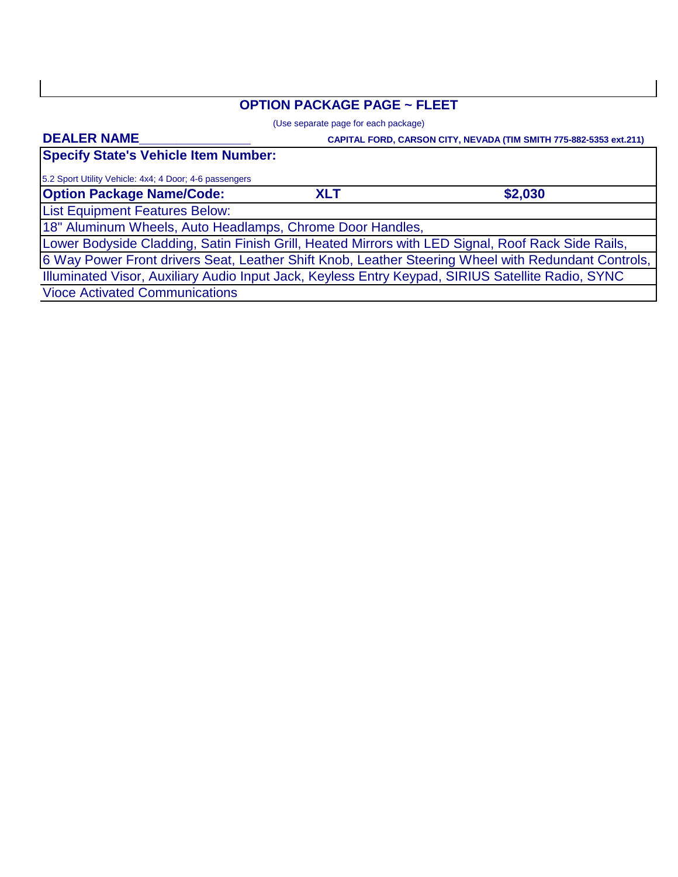# **OPTION PACKAGE PAGE ~ FLEET**

(Use separate page for each package)

#### **DEALER NAME\_\_\_\_\_\_\_\_\_\_\_\_\_\_\_**

 **CAPITAL FORD, CARSON CITY, NEVADA (TIM SMITH 775-882-5353 ext.211)**

**Specify State's Vehicle Item Number:**

5.2 Sport Utility Vehicle: 4x4; 4 Door; 4-6 passengers

**Option Package Name/Code:**

**\$2,030**

List Equipment Features Below:

18" Aluminum Wheels, Auto Headlamps, Chrome Door Handles,

Lower Bodyside Cladding, Satin Finish Grill, Heated Mirrors with LED Signal, Roof Rack Side Rails,

6 Way Power Front drivers Seat, Leather Shift Knob, Leather Steering Wheel with Redundant Controls,

Illuminated Visor, Auxiliary Audio Input Jack, Keyless Entry Keypad, SIRIUS Satellite Radio, SYNC

**XLT**

Vioce Activated Communications